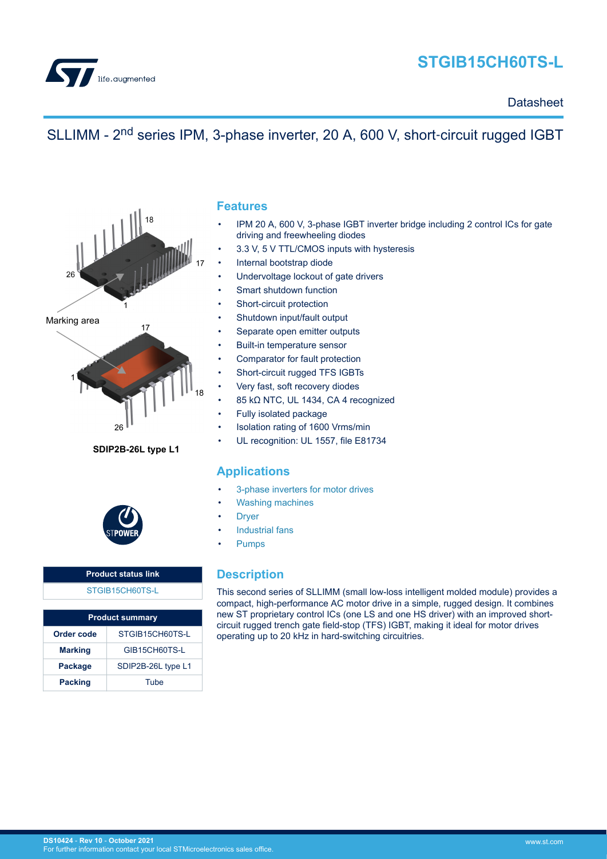<span id="page-0-0"></span>

# **STGIB15CH60TS-L**

**Datasheet** 

# SLLIMM - 2<sup>nd</sup> series IPM, 3-phase inverter, 20 A, 600 V, short-circuit rugged IGBT



### **SDIP2B-26L type L1**



## **Product status link** [STGIB15CH60TS-L](https://www.st.com/en/product/STGIB15CH60TS-L?ecmp=tt9470_gl_link_feb2019&rt=ds&id=DS10424)

| <b>Product summary</b>          |                    |  |
|---------------------------------|--------------------|--|
| Order code                      | STGIB15CH60TS-L    |  |
| <b>Marking</b><br>GIB15CH60TS-L |                    |  |
| <b>Package</b>                  | SDIP2B-26L type L1 |  |
| <b>Packing</b>                  | Tube               |  |

### **Features**

- IPM 20 A, 600 V, 3-phase IGBT inverter bridge including 2 control ICs for gate driving and freewheeling diodes
- 3.3 V, 5 V TTL/CMOS inputs with hysteresis
- Internal bootstrap diode
- Undervoltage lockout of gate drivers
- Smart shutdown function
- Short-circuit protection
- Shutdown input/fault output
- Separate open emitter outputs
- Built-in temperature sensor
- Comparator for fault protection
- Short-circuit rugged TFS IGBTs
- Very fast, soft recovery diodes
- 85 kΩ NTC, UL 1434, CA 4 recognized
- Fully isolated package
- Isolation rating of 1600 Vrms/min
- UL recognition: UL 1557, file E81734

# **Applications**

- [3-phase inverters for motor drives](https://www.st.com/en/applications/industrial-motor-control.html?ecmp=tt9471_gl_link_feb2019&rt=ds&id=DS10424)
- [Washing machines](https://www.st.com/en/applications/home-and-professional-appliances/washing-machines.html?ecmp=tt9471_gl_link_feb2019&rt=ds&id=DS10424)
- **[Dryer](https://www.st.com/en/applications/home-and-professional-appliances/dryer.html?ecmp=tt9471_gl_link_feb2019&rt=ds&id=DS10424)**
- [Industrial fans](https://www.st.com/en/applications/industrial-drives/fans.html?ecmp=tt9471_gl_link_feb2019&rt=ds&id=DS10424)
- [Pumps](https://www.st.com/en/applications/industrial-drives/pumps.html?ecmp=tt9471_gl_link_feb2019&rt=ds&id=DS10424)

# **Description**

This second series of SLLIMM (small low-loss intelligent molded module) provides a compact, high-performance AC motor drive in a simple, rugged design. It combines new ST proprietary control ICs (one LS and one HS driver) with an improved shortcircuit rugged trench gate field-stop (TFS) IGBT, making it ideal for motor drives operating up to 20 kHz in hard-switching circuitries.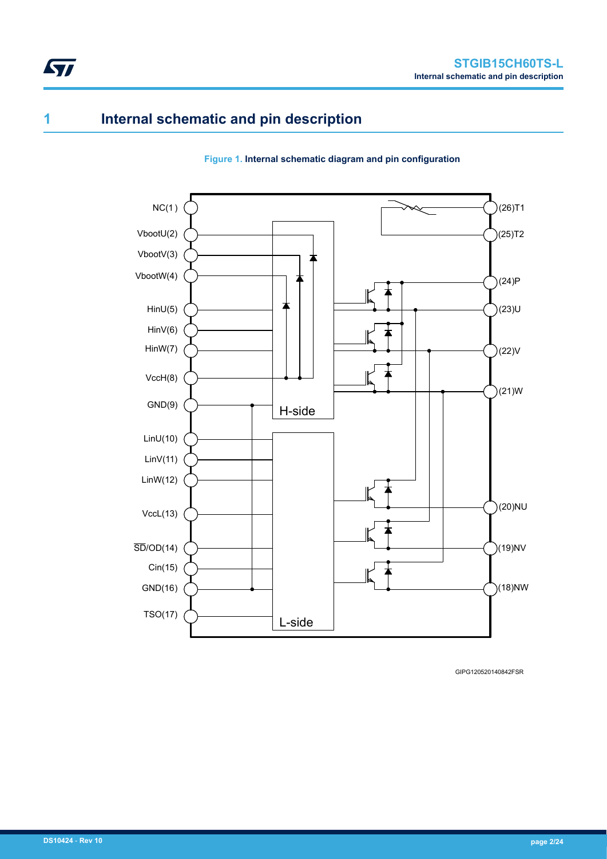# <span id="page-1-0"></span>**1 Internal schematic and pin description**

### **Figure 1. Internal schematic diagram and pin configuration**



GIPG120520140842FSR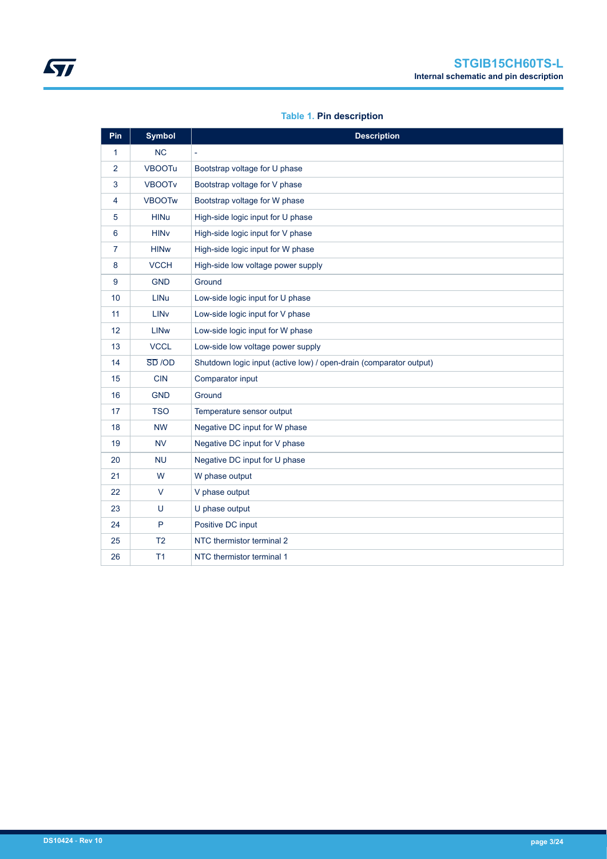## **Table 1. Pin description**

| Pin             | <b>Symbol</b>          | <b>Description</b>                                                 |
|-----------------|------------------------|--------------------------------------------------------------------|
| 1               | <b>NC</b>              | ä,                                                                 |
| $\overline{2}$  | <b>VBOOTu</b>          | Bootstrap voltage for U phase                                      |
| 3               | <b>VBOOTv</b>          | Bootstrap voltage for V phase                                      |
| 4               | <b>VBOOTw</b>          | Bootstrap voltage for W phase                                      |
| 5               | <b>HINu</b>            | High-side logic input for U phase                                  |
| 6               | <b>HIN<sub>V</sub></b> | High-side logic input for V phase                                  |
| $\overline{7}$  | <b>HINw</b>            | High-side logic input for W phase                                  |
| 8               | <b>VCCH</b>            | High-side low voltage power supply                                 |
| 9               | <b>GND</b>             | Ground                                                             |
| 10              | <b>LINu</b>            | Low-side logic input for U phase                                   |
| 11              | LIN <sub>v</sub>       | Low-side logic input for V phase                                   |
| 12 <sup>2</sup> | <b>LIN<sub>w</sub></b> | Low-side logic input for W phase                                   |
| 13              | <b>VCCL</b>            | Low-side low voltage power supply                                  |
| 14              | $\overline{SD}$ /OD    | Shutdown logic input (active low) / open-drain (comparator output) |
| 15              | <b>CIN</b>             | Comparator input                                                   |
| 16              | <b>GND</b>             | Ground                                                             |
| 17              | <b>TSO</b>             | Temperature sensor output                                          |
| 18              | <b>NW</b>              | Negative DC input for W phase                                      |
| 19              | <b>NV</b>              | Negative DC input for V phase                                      |
| 20              | <b>NU</b>              | Negative DC input for U phase                                      |
| 21              | W                      | W phase output                                                     |
| 22              | $\vee$                 | V phase output                                                     |
| 23              | U                      | U phase output                                                     |
| 24              | P                      | Positive DC input                                                  |
| 25              | T <sub>2</sub>         | NTC thermistor terminal 2                                          |
| 26              | T1                     | NTC thermistor terminal 1                                          |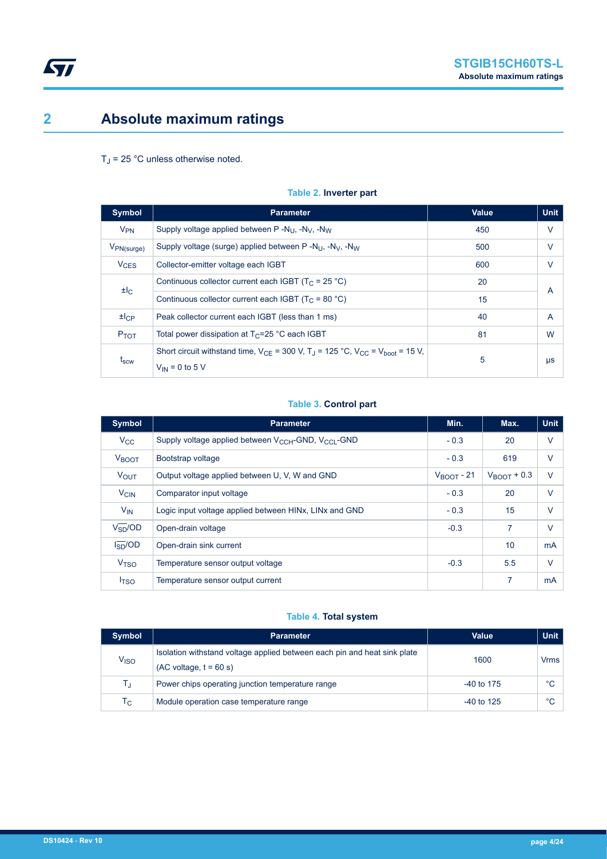# <span id="page-3-0"></span>**2 Absolute maximum ratings**

## $T_J$  = 25 °C unless otherwise noted.

| <b>Symbol</b>    | <b>Parameter</b>                                                                                                                            | Value | <b>Unit</b>    |
|------------------|---------------------------------------------------------------------------------------------------------------------------------------------|-------|----------------|
| $V_{PN}$         | Supply voltage applied between $P - N_{11}$ , $-N_{1}$ , $-N_{1}$                                                                           | 450   | $\vee$         |
| $V_{PN(surge)}$  | Supply voltage (surge) applied between $P - N_{U}$ , $-N_{V}$ , $-N_{W}$                                                                    | 500   | V              |
| $V_{CES}$        | Collector-emitter voltage each IGBT                                                                                                         | 600   | $\vee$         |
|                  | Continuous collector current each IGBT ( $T_c$ = 25 °C)                                                                                     | 20    | $\overline{A}$ |
| $H_{\rm C}$      | Continuous collector current each IGBT ( $T_c$ = 80 °C)                                                                                     | 15    |                |
| $H_{\rm CP}$     | Peak collector current each IGBT (less than 1 ms)                                                                                           | 40    | $\overline{A}$ |
| P <sub>TOT</sub> | Total power dissipation at $T_c = 25$ °C each IGBT                                                                                          | 81    | W              |
| t <sub>scw</sub> | Short circuit withstand time, $V_{CF}$ = 300 V, T <sub>J</sub> = 125 °C, V <sub>CC</sub> = V <sub>hoot</sub> = 15 V,<br>$V_{IN}$ = 0 to 5 V | 5     | $\mu s$        |

## **Table 2. Inverter part**

## **Table 3. Control part**

| <b>Symbol</b>          | <b>Parameter</b>                                                                | Min.                  | Max.                   | <b>Unit</b> |
|------------------------|---------------------------------------------------------------------------------|-----------------------|------------------------|-------------|
| $V_{\rm CC}$           | Supply voltage applied between $V_{CCH}$ -GND, $V_{CCl}$ -GND                   | $-0.3$                | 20                     | $\vee$      |
| <b>V</b> BOOT          | Bootstrap voltage                                                               | $-0.3$                | 619                    | V           |
| <b>VOUT</b>            | Output voltage applied between U, V, W and GND                                  | $V_{\text{ROT}}$ - 21 | $V_{\text{ROT}}$ + 0.3 | $\vee$      |
| <b>V<sub>CIN</sub></b> | Comparator input voltage                                                        | $-0.3$                | 20                     | V           |
| $V_{IN}$               | Logic input voltage applied between HIN <sub>x</sub> , LIN <sub>x</sub> and GND | $-0.3$                | 15                     | V           |
| $V_{SD}^{-}/OD$        | Open-drain voltage                                                              | $-0.3$                | 7                      | V           |
| $I_{SD}$ /OD           | Open-drain sink current                                                         |                       | 10                     | mA          |
| V <sub>TSO</sub>       | Temperature sensor output voltage                                               | $-0.3$                | 5.5                    | $\vee$      |
| I <sub>TSO</sub>       | Temperature sensor output current                                               |                       | 7                      | mA          |

## **Table 4. Total system**

| <b>Symbol</b>          | Parameter                                                                                             | Value        | <b>Unit</b> |
|------------------------|-------------------------------------------------------------------------------------------------------|--------------|-------------|
| <b>V<sub>ISO</sub></b> | Isolation with stand voltage applied between each pin and heat sink plate<br>$(AC voltage, t = 60 s)$ | 1600         | <b>Vrms</b> |
| T,                     | Power chips operating junction temperature range                                                      | $-40$ to 175 | °C          |
| Тc                     | Module operation case temperature range                                                               | $-40$ to 125 | °C          |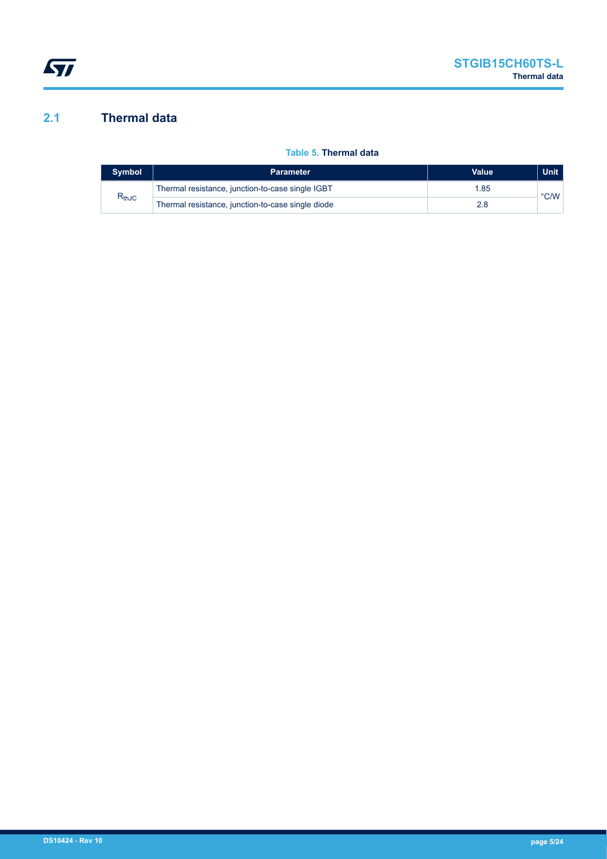# <span id="page-4-0"></span>**2.1 Thermal data**

## **Table 5. Thermal data**

| <b>Symbol</b> | <b>Parameter</b>                                        | Value | <b>Unit</b>   |
|---------------|---------------------------------------------------------|-------|---------------|
| $R_{thJC}$    | Thermal resistance, junction-to-case single IGBT<br>.85 |       | $\degree$ C/W |
|               | Thermal resistance, junction-to-case single diode       |       |               |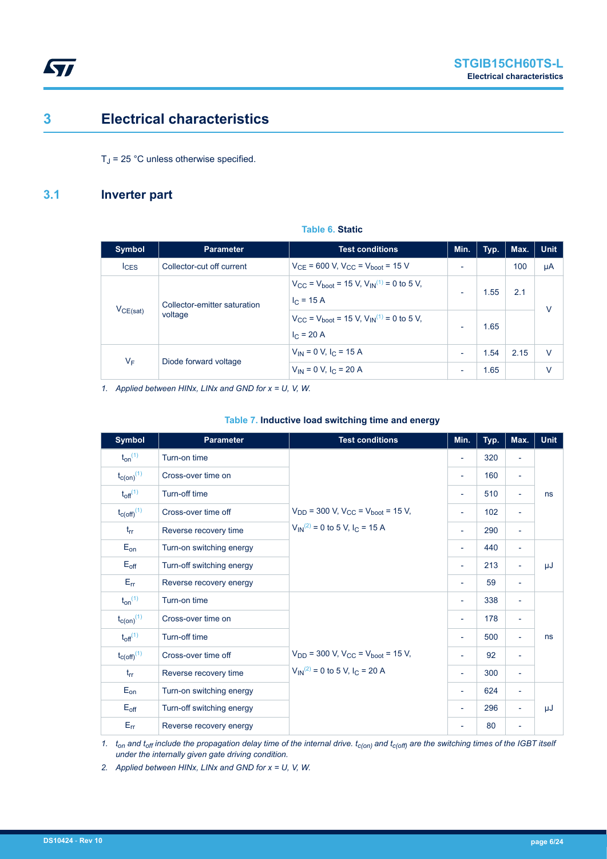# <span id="page-5-0"></span>**3 Electrical characteristics**

 $T_J$  = 25 °C unless otherwise specified.

# **3.1 Inverter part**

| <b>Symbol</b> | <b>Parameter</b>                        | <b>Test conditions</b>                                                                                                                                                                                                                   | Min.                                                 | Typ.         | Max. | <b>Unit</b> |
|---------------|-----------------------------------------|------------------------------------------------------------------------------------------------------------------------------------------------------------------------------------------------------------------------------------------|------------------------------------------------------|--------------|------|-------------|
| $I_{CES}$     | Collector-cut off current               | $V_{CF}$ = 600 V, $V_{CC}$ = $V_{boot}$ = 15 V                                                                                                                                                                                           | ٠                                                    |              | 100  | μA          |
| $V_{CE(sat)}$ | Collector-emitter saturation<br>voltage | $V_{\text{CC}} = V_{\text{boot}} = 15 \text{ V}, V_{\text{IN}}^{(1)} = 0 \text{ to } 5 \text{ V},$<br>$I_C = 15 A$<br>$V_{\text{CC}} = V_{\text{boot}} = 15 \text{ V}, V_{\text{IN}}^{(1)} = 0 \text{ to } 5 \text{ V},$<br>$I_C = 20 A$ | $\overline{\phantom{0}}$<br>$\overline{\phantom{0}}$ | 1.55<br>1.65 | 2.1  | $\vee$      |
| $V_F$         | Diode forward voltage                   | $V_{IN} = 0$ V, $I_C = 15$ A<br>$V_{IN} = 0 V, I_C = 20 A$                                                                                                                                                                               | $\overline{\phantom{a}}$<br>$\overline{\phantom{a}}$ | 1.54<br>1.65 | 2.15 | $\vee$<br>٧ |

*1. Applied between HINx, LINx and GND for x = U, V, W.*

| <b>Symbol</b>               | <b>Parameter</b>          | <b>Test conditions</b>                                                                                                                                                                                                                 | Min.                     | Typ. | Max.                     | <b>Unit</b> |
|-----------------------------|---------------------------|----------------------------------------------------------------------------------------------------------------------------------------------------------------------------------------------------------------------------------------|--------------------------|------|--------------------------|-------------|
| $t_{on}$ <sup>(1)</sup>     | Turn-on time              |                                                                                                                                                                                                                                        | $\overline{\phantom{a}}$ | 320  | $\overline{\phantom{a}}$ |             |
| $t_{c(0n)}$ <sup>(1)</sup>  | Cross-over time on        |                                                                                                                                                                                                                                        | $\overline{\phantom{a}}$ | 160  | ÷                        |             |
| $t_{off}$ <sup>(1)</sup>    | Turn-off time             | $V_{DD}$ = 300 V, $V_{CC}$ = $V_{boot}$ = 15 V,<br>$V_{\text{IN}}^{(2)} = 0$ to 5 V, I <sub>C</sub> = 15 A<br>$V_{DD}$ = 300 V, V <sub>CC</sub> = V <sub>boot</sub> = 15 V,<br>$V_{\text{IN}}^{(2)} = 0$ to 5 V, I <sub>C</sub> = 20 A | $\overline{\phantom{a}}$ | 510  | $\overline{\phantom{a}}$ | ns          |
| $t_{C(Off)}$ <sup>(1)</sup> | Cross-over time off       |                                                                                                                                                                                                                                        | $\overline{\phantom{a}}$ | 102  | $\overline{\phantom{a}}$ |             |
| $t_{rr}$                    | Reverse recovery time     |                                                                                                                                                                                                                                        | $\overline{\phantom{a}}$ | 290  | $\sim$                   |             |
| $E_{on}$                    | Turn-on switching energy  |                                                                                                                                                                                                                                        | $\overline{\phantom{a}}$ | 440  | $\overline{\phantom{a}}$ |             |
| $E_{\text{off}}$            | Turn-off switching energy |                                                                                                                                                                                                                                        | $\overline{\phantom{a}}$ | 213  | $\overline{\phantom{a}}$ | μJ          |
| $E_{rr}$                    | Reverse recovery energy   |                                                                                                                                                                                                                                        | $\overline{\phantom{a}}$ | 59   | $\overline{\phantom{a}}$ |             |
| $t_{on}$ <sup>(1)</sup>     | Turn-on time              |                                                                                                                                                                                                                                        | $\overline{\phantom{a}}$ | 338  | $\overline{\phantom{a}}$ |             |
| $t_{c(on)}$ <sup>(1)</sup>  | Cross-over time on        |                                                                                                                                                                                                                                        |                          | 178  | $\overline{\phantom{a}}$ |             |
| $t_{off}$ <sup>(1)</sup>    | Turn-off time             |                                                                                                                                                                                                                                        | $\overline{\phantom{a}}$ | 500  | $\overline{\phantom{a}}$ | ns          |
| $t_{\text{C(Off)}}^{(1)}$   | Cross-over time off       |                                                                                                                                                                                                                                        | $\overline{\phantom{a}}$ | 92   | $\overline{\phantom{a}}$ |             |
| $t_{rr}$                    | Reverse recovery time     |                                                                                                                                                                                                                                        | $\overline{\phantom{a}}$ | 300  | $\overline{\phantom{a}}$ |             |
| $E_{on}$                    | Turn-on switching energy  |                                                                                                                                                                                                                                        | $\overline{\phantom{a}}$ | 624  | $\overline{\phantom{a}}$ |             |
| $E_{\text{off}}$            | Turn-off switching energy |                                                                                                                                                                                                                                        | $\overline{\phantom{a}}$ | 296  | ÷                        | μJ          |
| $E_{rr}$                    | Reverse recovery energy   |                                                                                                                                                                                                                                        | $\overline{\phantom{a}}$ | 80   | $\overline{\phantom{a}}$ |             |

#### **Table 7. Inductive load switching time and energy**

*1. ton and toff include the propagation delay time of the internal drive. tc(on) and tc(off) are the switching times of the IGBT itself under the internally given gate driving condition.*

*2. Applied between HINx, LINx and GND for x = U, V, W.*

**Table 6. Static**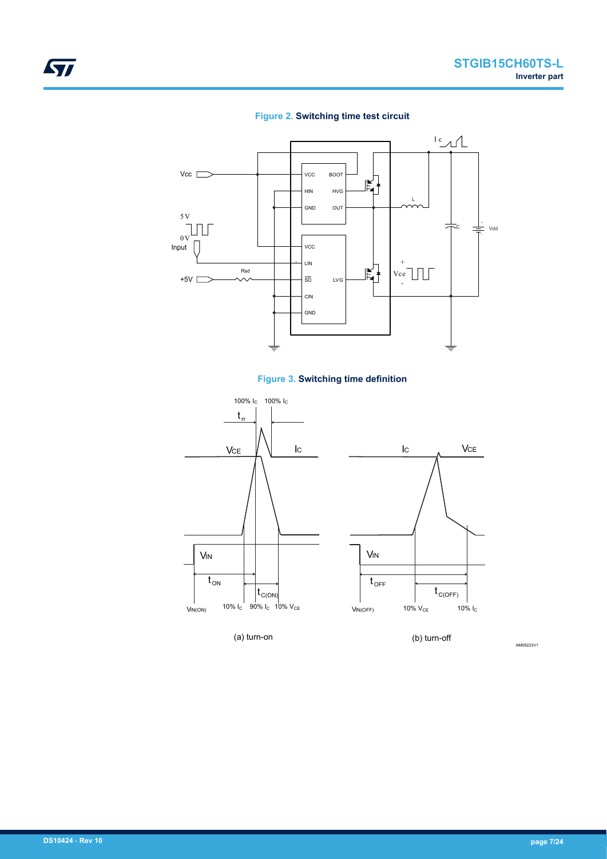







AM09223V1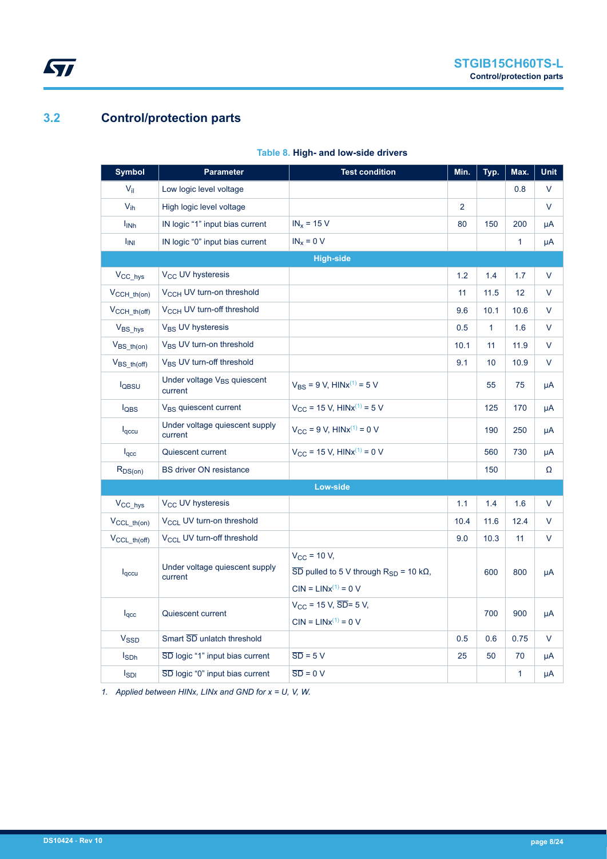# **3.2 Control/protection parts**

<span id="page-7-0"></span> $\sqrt{2}$ 

| <b>Symbol</b>          | <b>Parameter</b>                                   | <b>Test condition</b>                                                                              | Min.           | Typ.         | Max.         | <b>Unit</b> |
|------------------------|----------------------------------------------------|----------------------------------------------------------------------------------------------------|----------------|--------------|--------------|-------------|
| $V_{\rm{il}}$          | Low logic level voltage                            |                                                                                                    |                |              | 0.8          | V           |
| $V_{ih}$               | High logic level voltage                           |                                                                                                    | $\overline{2}$ |              |              | $\vee$      |
| $I_{INh}$              | IN logic "1" input bias current                    | $IN_x = 15 V$                                                                                      | 80             | 150          | 200          | μA          |
| <b>I<sub>INI</sub></b> | IN logic "0" input bias current                    | $IN_x = 0 V$                                                                                       |                |              | $\mathbf{1}$ | μA          |
|                        |                                                    | <b>High-side</b>                                                                                   |                |              |              |             |
| V <sub>CC_hys</sub>    | V <sub>CC</sub> UV hysteresis                      |                                                                                                    | 1.2            | 1.4          | 1.7          | $\vee$      |
| $V_{CCH_th(0n)}$       | V <sub>CCH</sub> UV turn-on threshold              |                                                                                                    | 11             | 11.5         | 12           | V           |
| $V_{CCH\_th(off)}$     | V <sub>CCH</sub> UV turn-off threshold             |                                                                                                    | 9.6            | 10.1         | 10.6         | V           |
| V <sub>BS</sub> hys    | V <sub>BS</sub> UV hysteresis                      |                                                                                                    | 0.5            | $\mathbf{1}$ | 1.6          | V           |
| $V_{BS_th(0n)}$        | V <sub>BS</sub> UV turn-on threshold               |                                                                                                    | 10.1           | 11           | 11.9         | $\vee$      |
| $V_{BS_th(off)}$       | V <sub>BS</sub> UV turn-off threshold              |                                                                                                    | 9.1            | 10           | 10.9         | V           |
| l <sub>QBSU</sub>      | Under voltage V <sub>BS</sub> quiescent<br>current | $V_{BS}$ = 9 V, HINx <sup>(1)</sup> = 5 V                                                          |                | 55           | 75           | μA          |
| lQBS                   | V <sub>BS</sub> quiescent current                  | $V_{CC}$ = 15 V, HINx <sup>(1)</sup> = 5 V                                                         |                | 125          | 170          | μA          |
| $I_{\text{qccu}}$      | Under voltage quiescent supply<br>current          | $V_{CC}$ = 9 V, HINx <sup>(1)</sup> = 0 V                                                          |                | 190          | 250          | μA          |
| $I_{\text{qcc}}$       | Quiescent current                                  | $V_{CC}$ = 15 V, HINx <sup>(1)</sup> = 0 V                                                         |                | 560          | 730          | μA          |
| $R_{DS(on)}$           | <b>BS driver ON resistance</b>                     |                                                                                                    |                | 150          |              | Ω           |
|                        |                                                    | <b>Low-side</b>                                                                                    |                |              |              |             |
| V <sub>CC_hys</sub>    | V <sub>CC</sub> UV hysteresis                      |                                                                                                    | 1.1            | 1.4          | 1.6          | $\vee$      |
| $V_{CCL_th(0n)}$       | V <sub>CCI</sub> UV turn-on threshold              |                                                                                                    | 10.4           | 11.6         | 12.4         | V           |
| $V_{CCL_th(off)}$      | V <sub>CCL</sub> UV turn-off threshold             |                                                                                                    | 9.0            | 10.3         | 11           | V           |
| $I_{\text{qccu}}$      | Under voltage quiescent supply<br>current          | $V_{\text{CC}}$ = 10 V,<br>$\overline{SD}$ pulled to 5 V through R <sub>SD</sub> = 10 k $\Omega$ , |                | 600          | 800          | μA          |
|                        |                                                    | $CIN = LINx^{(1)} = 0 V$                                                                           |                |              |              |             |
| $I_{\text{qcc}}$       | Quiescent current                                  | $V_{CC}$ = 15 V, $\overline{SD}$ = 5 V,                                                            |                | 700          | 900          | μA          |
|                        |                                                    | $CIN = LINx^{(1)} = 0 V$                                                                           |                |              |              |             |
| V <sub>SSD</sub>       | Smart SD unlatch threshold                         |                                                                                                    | 0.5            | 0.6          | 0.75         | V           |
| <b>I</b> sph           | SD logic "1" input bias current                    | $\overline{SD}$ = 5 V                                                                              | 25             | 50           | 70           | μA          |
| I <sub>SDI</sub>       | SD logic "0" input bias current                    | $\overline{SD} = 0 \text{ V}$                                                                      |                |              | $\mathbf{1}$ | μA          |

### **Table 8. High- and low-side drivers**

*1. Applied between HINx, LINx and GND for x = U, V, W.*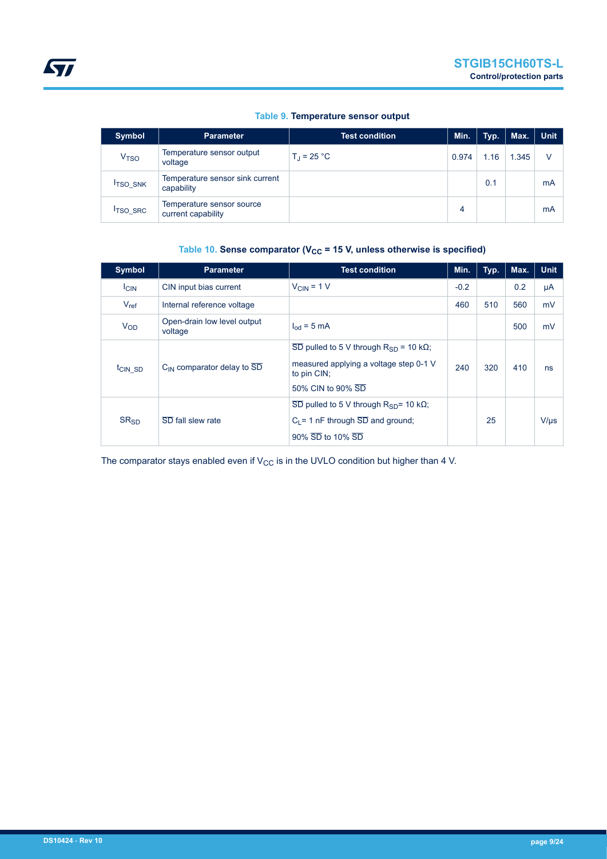|  |  | Table 9. Temperature sensor output |  |  |
|--|--|------------------------------------|--|--|
|--|--|------------------------------------|--|--|

<span id="page-8-0"></span>

| <b>Symbol</b>    | <b>Parameter</b>                                | Test condition <b>T</b> | Min.  | Typ. | Max.  | <b>Unit</b> |
|------------------|-------------------------------------------------|-------------------------|-------|------|-------|-------------|
| V <sub>TSO</sub> | Temperature sensor output<br>voltage            | $T_{\rm J}$ = 25 °C     | 0.974 | 1.16 | 1.345 | V           |
| <b>ITSO SNK</b>  | Temperature sensor sink current<br>capability   |                         |       | 0.1  |       | mA          |
| <b>ITSO SRC</b>  | Temperature sensor source<br>current capability |                         | 4     |      |       | mA          |

# Table 10. Sense comparator (V<sub>CC</sub> = 15 V, unless otherwise is specified)

| <b>Symbol</b>         | <b>Parameter</b>                       | <b>Test condition</b>                                                                                                                        | Min.   | Typ. | Max. | <b>Unit</b> |
|-----------------------|----------------------------------------|----------------------------------------------------------------------------------------------------------------------------------------------|--------|------|------|-------------|
| <b>ICIN</b>           | CIN input bias current                 | $V_{CIN} = 1 V$                                                                                                                              | $-0.2$ |      | 0.2  | μA          |
| $V_{ref}$             | Internal reference voltage             |                                                                                                                                              | 460    | 510  | 560  | mV          |
| <b>V<sub>OD</sub></b> | Open-drain low level output<br>voltage | $I_{\text{od}}$ = 5 mA                                                                                                                       |        |      | 500  | mV          |
| t <sub>CIN</sub> SD   | $C_{IN}$ comparator delay to $SD$      | $\overline{SD}$ pulled to 5 V through R <sub>SD</sub> = 10 kΩ;<br>measured applying a voltage step 0-1 V<br>to pin CIN;<br>50% CIN to 90% SD | 240    | 320  | 410  | ns          |
| SR <sub>SD</sub>      | SD fall slew rate                      | $\overline{SD}$ pulled to 5 V through R <sub>SD</sub> = 10 kΩ;<br>$C_1 = 1$ nF through $\overline{SD}$ and ground;<br>90% SD to 10% SD       |        | 25   |      | $V/\mu s$   |

The comparator stays enabled even if  $V_{CC}$  is in the UVLO condition but higher than 4 V.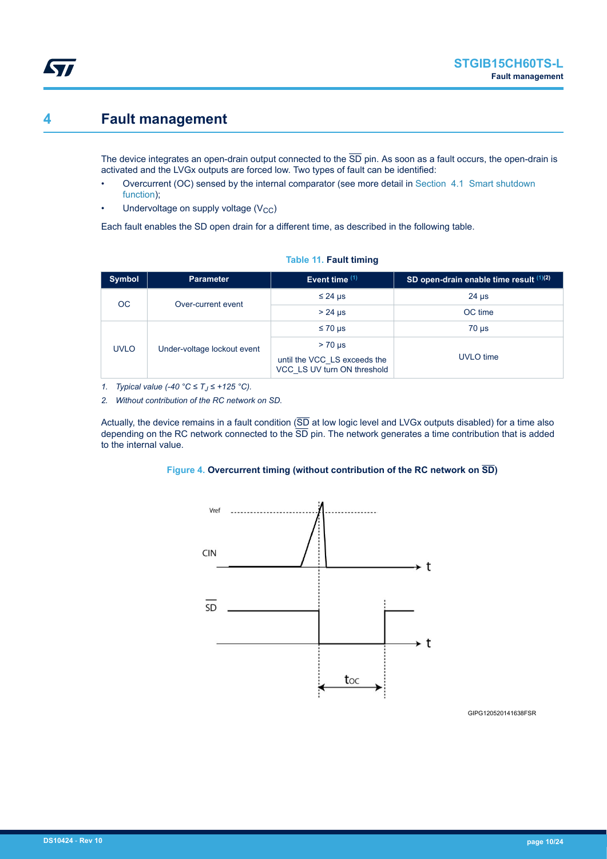# <span id="page-9-0"></span>**4 Fault management**

The device integrates an open-drain output connected to the  $\overline{SD}$  pin. As soon as a fault occurs, the open-drain is activated and the LVGx outputs are forced low. Two types of fault can be identified:

- Overcurrent (OC) sensed by the internal comparator (see more detail in [Section 4.1 Smart shutdown](#page-10-0) [function\)](#page-10-0);
- Undervoltage on supply voltage  $(V_{CC})$

Each fault enables the SD open drain for a different time, as described in the following table.

| <b>Symbol</b> | <b>Parameter</b>            | Event time $(1)$                                            | SD open-drain enable time result (1)(2) |
|---------------|-----------------------------|-------------------------------------------------------------|-----------------------------------------|
| OC.           | Over-current event          | $\leq$ 24 µs                                                | $24 \mu s$                              |
|               |                             | $> 24$ µs                                                   | OC time                                 |
| <b>UVLO</b>   | Under-voltage lockout event | $\leq 70$ µs                                                | $70 \mu s$                              |
|               |                             | $> 70 \mu s$                                                |                                         |
|               |                             | until the VCC_LS exceeds the<br>VCC LS UV turn ON threshold | UVLO time                               |

#### **Table 11. Fault timing**

*1. Typical value (-40 °C ≤ T<sup>J</sup> ≤ +125 °C).*

*2. Without contribution of the RC network on SD.*

Actually, the device remains in a fault condition  $(5D)$  at low logic level and LVGx outputs disabled) for a time also depending on the RC network connected to the  $\overline{SD}$  pin. The network generates a time contribution that is added to the internal value.

#### **Figure 4. Overcurrent timing (without contribution of the RC network on SD)**



GIPG120520141638FSR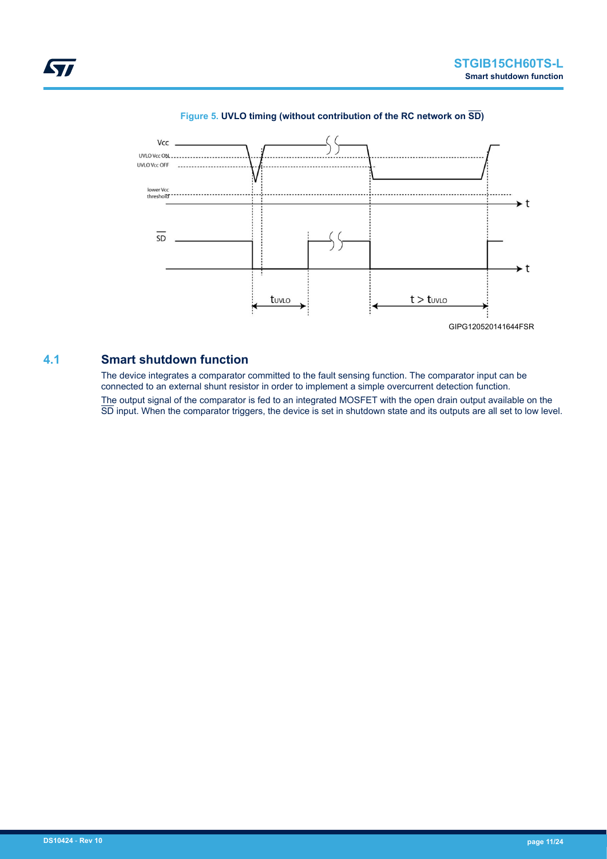<span id="page-10-0"></span>

### **Figure 5. UVLO timing (without contribution of the RC network on SD)**

## **4.1 Smart shutdown function**

The device integrates a comparator committed to the fault sensing function. The comparator input can be connected to an external shunt resistor in order to implement a simple overcurrent detection function. The output signal of the comparator is fed to an integrated MOSFET with the open drain output available on the SD input. When the comparator triggers, the device is set in shutdown state and its outputs are all set to low level.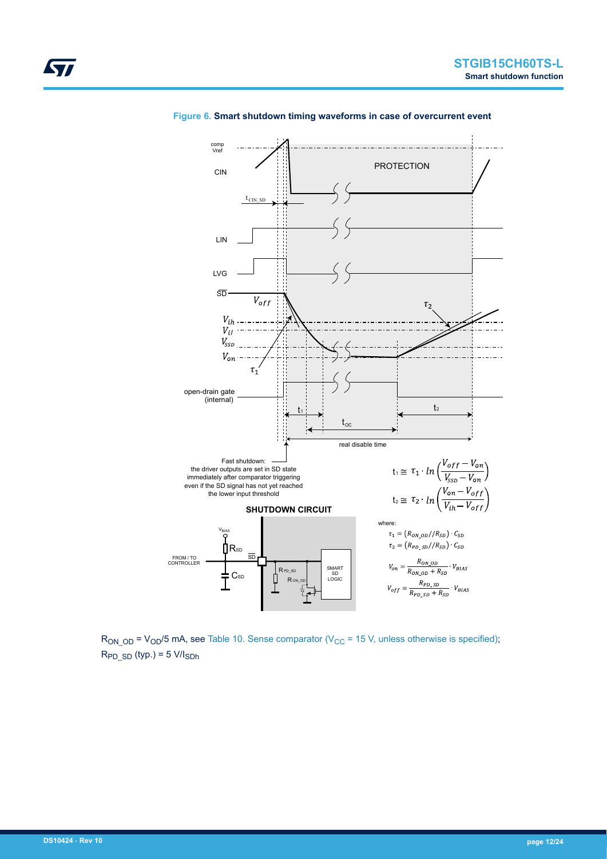

**Figure 6. Smart shutdown timing waveforms in case of overcurrent event**

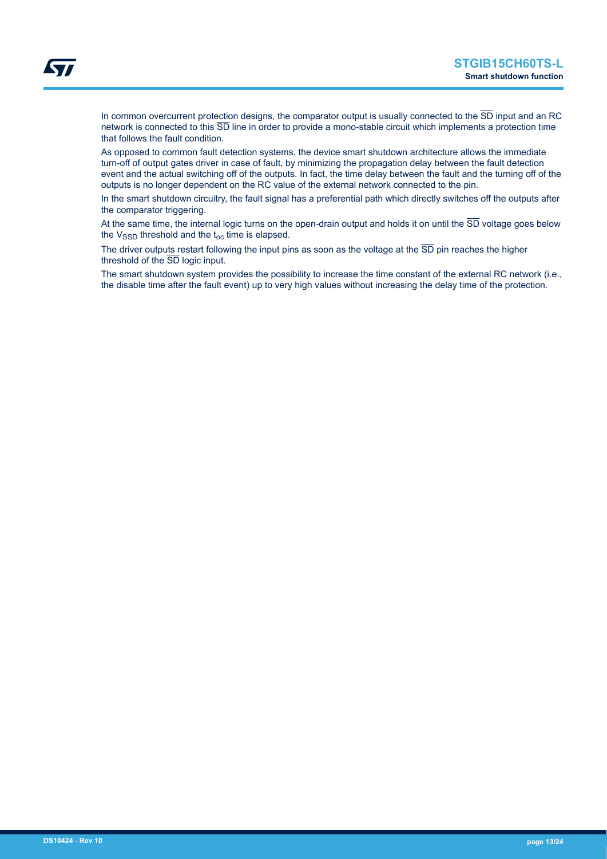In common overcurrent protection designs, the comparator output is usually connected to the  $\overline{\text{SD}}$  input and an RC network is connected to this  $\overline{SD}$  line in order to provide a mono-stable circuit which implements a protection time that follows the fault condition.

As opposed to common fault detection systems, the device smart shutdown architecture allows the immediate turn-off of output gates driver in case of fault, by minimizing the propagation delay between the fault detection event and the actual switching off of the outputs. In fact, the time delay between the fault and the turning off of the outputs is no longer dependent on the RC value of the external network connected to the pin.

In the smart shutdown circuitry, the fault signal has a preferential path which directly switches off the outputs after the comparator triggering.

At the same time, the internal logic turns on the open-drain output and holds it on until the  $\overline{SD}$  voltage goes below the  $V_{\text{SSD}}$  threshold and the  $t_{\text{oc}}$  time is elapsed.

The driver outputs restart following the input pins as soon as the voltage at the  $\overline{SD}$  pin reaches the higher threshold of the SD logic input.

The smart shutdown system provides the possibility to increase the time constant of the external RC network (i.e., the disable time after the fault event) up to very high values without increasing the delay time of the protection.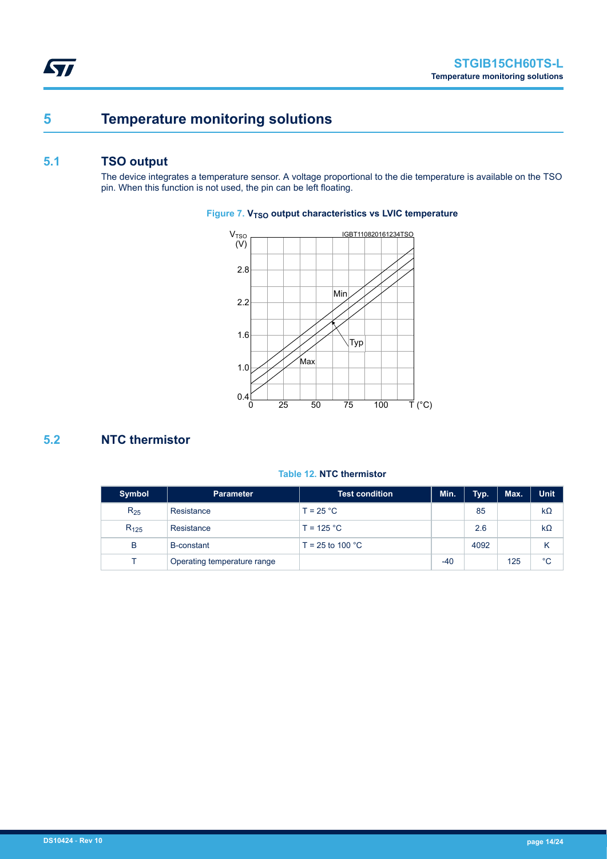# <span id="page-13-0"></span>**5 Temperature monitoring solutions**

# **5.1 TSO output**

The device integrates a temperature sensor. A voltage proportional to the die temperature is available on the TSO pin. When this function is not used, the pin can be left floating.

## IGBT110820161234TSO 2.8 2.2 1.6 1.0 0.4 0 25 50 75 100  $V<sub>TSO</sub>$ (V) T (°C) Min Max Typ

## **Figure 7. V<sub>TSO</sub>** output characteristics vs LVIC temperature

# **5.2 NTC thermistor**

### **Table 12. NTC thermistor**

| <b>Symbol</b> | <b>Parameter</b>            | <b>Test condition</b>      | Min.  | Typ. | Max. | <b>Unit</b> |
|---------------|-----------------------------|----------------------------|-------|------|------|-------------|
| $R_{25}$      | Resistance                  | $T = 25 °C$                |       | 85   |      | $k\Omega$   |
| $R_{125}$     | Resistance                  | $T = 125 °C$               |       | 2.6  |      | $k\Omega$   |
| B             | <b>B-constant</b>           | T = 25 to 100 $^{\circ}$ C |       | 4092 |      | κ           |
|               | Operating temperature range |                            | $-40$ |      | 125  | $^{\circ}C$ |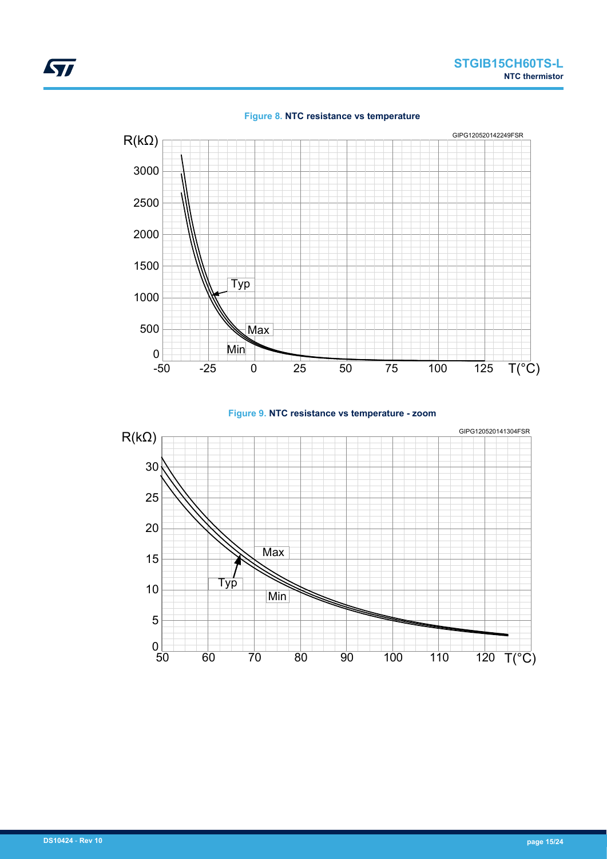





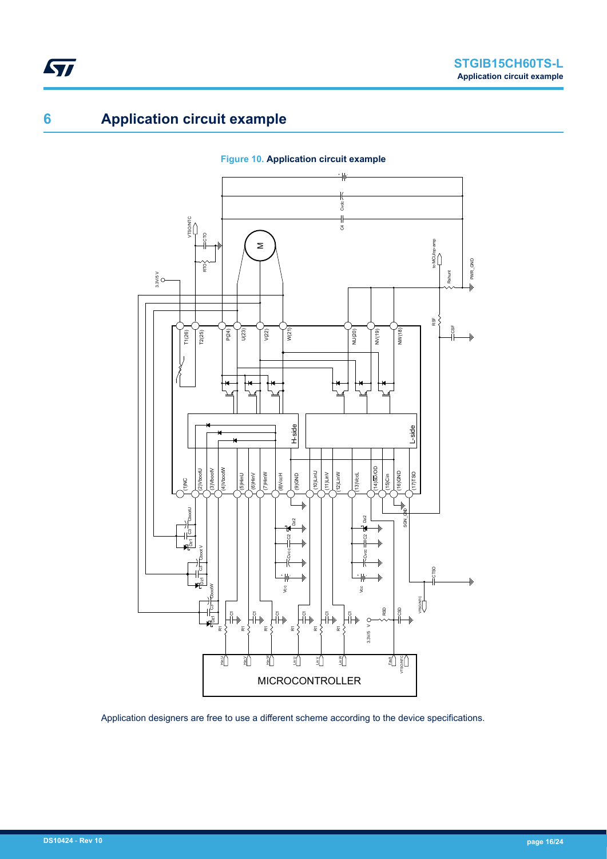# **6 Application circuit example**

<span id="page-15-0"></span>ST



**Figure 10. Application circuit example**

Application designers are free to use a different scheme according to the device specifications.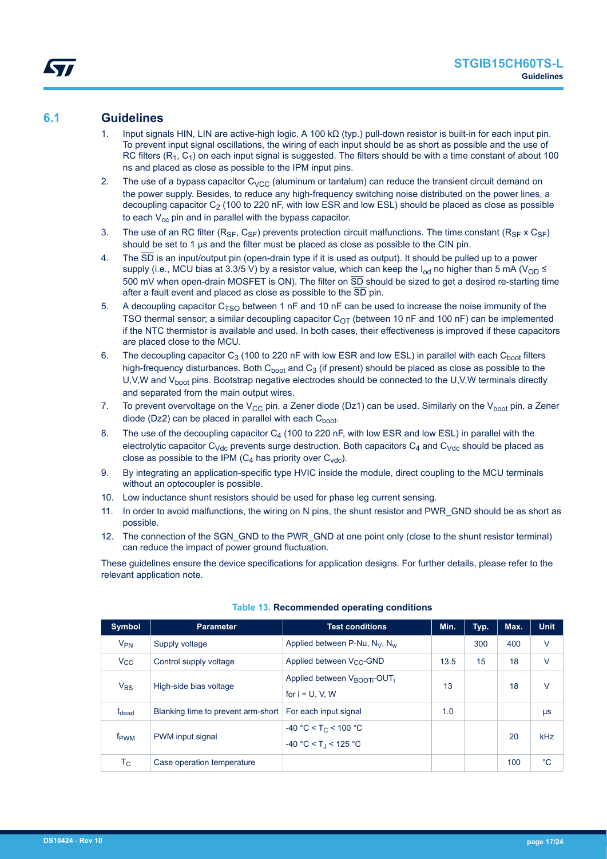## <span id="page-16-0"></span>**6.1 Guidelines**

- 1. Input signals HIN, LIN are active-high logic. A 100 kΩ (typ.) pull-down resistor is built-in for each input pin. To prevent input signal oscillations, the wiring of each input should be as short as possible and the use of RC filters  $(R_1, C_1)$  on each input signal is suggested. The filters should be with a time constant of about 100 ns and placed as close as possible to the IPM input pins.
- 2. The use of a bypass capacitor  $C_{VCC}$  (aluminum or tantalum) can reduce the transient circuit demand on the power supply. Besides, to reduce any high-frequency switching noise distributed on the power lines, a decoupling capacitor  $C_2$  (100 to 220 nF, with low ESR and low ESL) should be placed as close as possible to each  $V_{cc}$  pin and in parallel with the bypass capacitor.
- 3. The use of an RC filter ( $R_{SF}$ ,  $C_{SF}$ ) prevents protection circuit malfunctions. The time constant ( $R_{SF}$  x  $C_{SF}$ ) should be set to 1 µs and the filter must be placed as close as possible to the CIN pin.
- 4. The SD is an input/output pin (open-drain type if it is used as output). It should be pulled up to a power supply (i.e., MCU bias at 3.3/5 V) by a resistor value, which can keep the I<sub>od</sub> no higher than 5 mA (V<sub>OD</sub>  $\leq$ 500 mV when open-drain MOSFET is ON). The filter on  $\overline{SD}$  should be sized to get a desired re-starting time after a fault event and placed as close as possible to the SD pin.
- 5. A decoupling capacitor  $C_{TSO}$  between 1 nF and 10 nF can be used to increase the noise immunity of the TSO thermal sensor; a similar decoupling capacitor  $C_{OT}$  (between 10 nF and 100 nF) can be implemented if the NTC thermistor is available and used. In both cases, their effectiveness is improved if these capacitors are placed close to the MCU.
- 6. The decoupling capacitor  $C_3$  (100 to 220 nF with low ESR and low ESL) in parallel with each  $C_{boot}$  filters high-frequency disturbances. Both  $C_{boot}$  and  $C_3$  (if present) should be placed as close as possible to the U,V,W and V<sub>boot</sub> pins. Bootstrap negative electrodes should be connected to the U,V,W terminals directly and separated from the main output wires.
- 7. To prevent overvoltage on the V<sub>CC</sub> pin, a Zener diode (Dz1) can be used. Similarly on the V<sub>boot</sub> pin, a Zener diode (Dz2) can be placed in parallel with each  $C_{boot}$ .
- 8. The use of the decoupling capacitor  $C_4$  (100 to 220 nF, with low ESR and low ESL) in parallel with the electrolytic capacitor C<sub>Vdc</sub> prevents surge destruction. Both capacitors  $C_4$  and C<sub>Vdc</sub> should be placed as close as possible to the IPM  $(C_4$  has priority over  $C_{\text{vdc}}$ ).
- 9. By integrating an application-specific type HVIC inside the module, direct coupling to the MCU terminals without an optocoupler is possible.
- 10. Low inductance shunt resistors should be used for phase leg current sensing.
- 11. In order to avoid malfunctions, the wiring on N pins, the shunt resistor and PWR\_GND should be as short as possible.
- 12. The connection of the SGN\_GND to the PWR\_GND at one point only (close to the shunt resistor terminal) can reduce the impact of power ground fluctuation.

These guidelines ensure the device specifications for application designs. For further details, please refer to the relevant application note.

| Symbol            | <b>Parameter</b>                   | <b>Test conditions</b>                                                    | Min. | Typ. | Max. | <b>Unit</b> |
|-------------------|------------------------------------|---------------------------------------------------------------------------|------|------|------|-------------|
| $V_{PN}$          | Supply voltage                     | Applied between P-Nu, $N_V$ , $N_w$                                       |      | 300  | 400  | $\vee$      |
| $V_{\rm CC}$      | Control supply voltage             | Applied between V <sub>CC</sub> -GND                                      | 13.5 | 15   | 18   | $\vee$      |
| $V_{BS}$          | High-side bias voltage             | Applied between V <sub>BOOTi</sub> -OUT <sub>i</sub><br>for $i = U, V, W$ | 13   |      | 18   | $\vee$      |
| t <sub>dead</sub> | Blanking time to prevent arm-short | For each input signal                                                     | 1.0  |      |      | μs          |
| f <sub>PWM</sub>  | PWM input signal                   | $-40 °C < T_C < 100 °C$<br>$-40 °C < T_1 < 125 °C$                        |      |      | 20   | kHz         |
| Тc                | Case operation temperature         |                                                                           |      |      | 100  | $^{\circ}C$ |

#### **Table 13. Recommended operating conditions**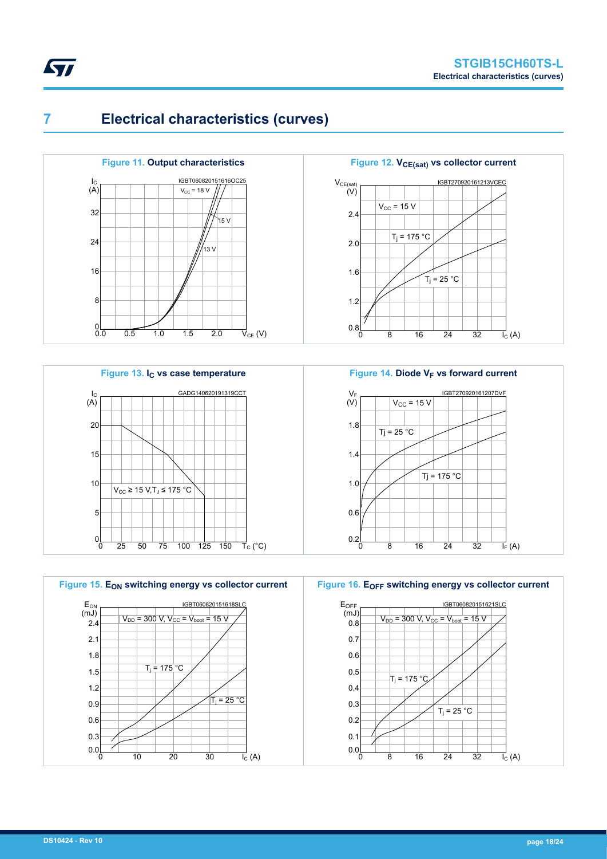

# **7 Electrical characteristics (curves)**

<span id="page-17-0"></span>*kyl* 













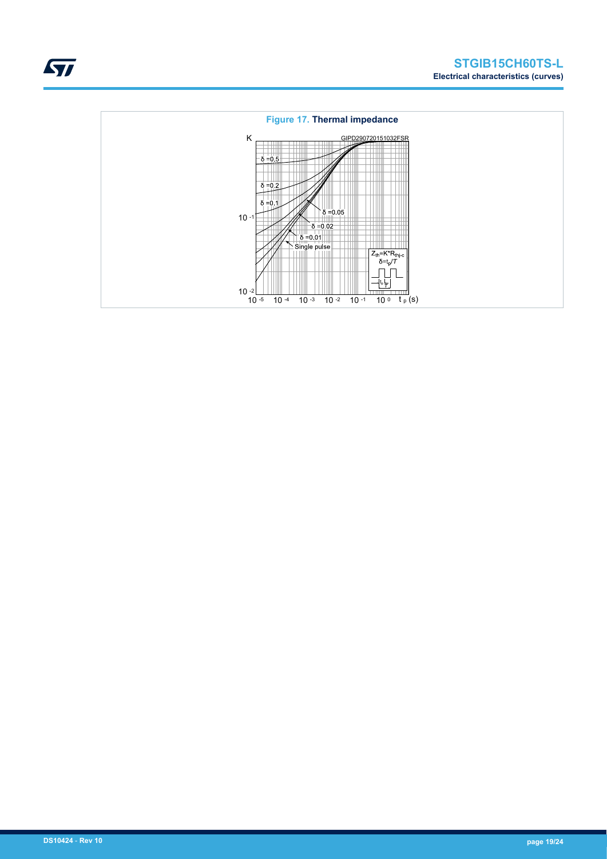

## **Figure 17. Thermal impedance**

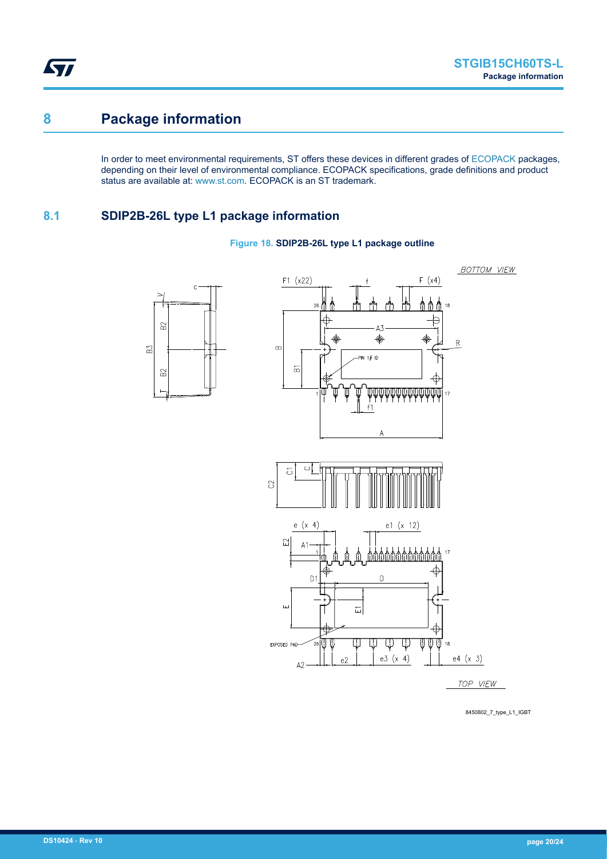<span id="page-19-0"></span>ST

# **8 Package information**

In order to meet environmental requirements, ST offers these devices in different grades of [ECOPACK](https://www.st.com/ecopack) packages, depending on their level of environmental compliance. ECOPACK specifications, grade definitions and product status are available at: [www.st.com.](http://www.st.com) ECOPACK is an ST trademark.

# **8.1 SDIP2B-26L type L1 package information**

 $\mathbf{c}$ 

 $B<sup>2</sup>$ 

 $_{\rm B2}$ 

B3



### **Figure 18. SDIP2B-26L type L1 package outline**

8450802\_7\_type\_L1\_IGBT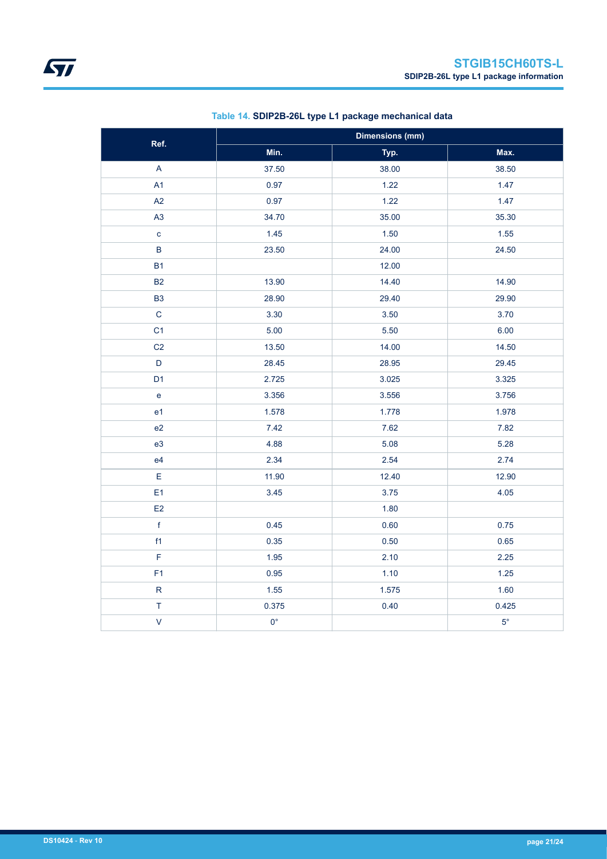| Ref.                    | <b>Dimensions (mm)</b> |       |             |  |  |
|-------------------------|------------------------|-------|-------------|--|--|
|                         | Min.                   | Typ.  | Max.        |  |  |
| $\overline{\mathsf{A}}$ | 37.50                  | 38.00 | 38.50       |  |  |
| A1                      | 0.97                   | 1.22  | 1.47        |  |  |
| A2                      | 0.97                   | 1.22  | 1.47        |  |  |
| A <sub>3</sub>          | 34.70                  | 35.00 | 35.30       |  |  |
| $\mathbf{C}$            | 1.45                   | 1.50  | 1.55        |  |  |
| $\sf B$                 | 23.50                  | 24.00 | 24.50       |  |  |
| <b>B1</b>               |                        | 12.00 |             |  |  |
| <b>B2</b>               | 13.90                  | 14.40 | 14.90       |  |  |
| <b>B3</b>               | 28.90                  | 29.40 | 29.90       |  |  |
| $\mathbf C$             | 3.30                   | 3.50  | 3.70        |  |  |
| C <sub>1</sub>          | 5.00                   | 5.50  | 6.00        |  |  |
| C <sub>2</sub>          | 13.50                  | 14.00 | 14.50       |  |  |
| $\mathsf D$             | 28.45                  | 28.95 | 29.45       |  |  |
| D <sub>1</sub>          | 2.725                  | 3.025 | 3.325       |  |  |
| $\mathbf{e}$            | 3.356                  | 3.556 | 3.756       |  |  |
| e <sub>1</sub>          | 1.578                  | 1.778 | 1.978       |  |  |
| e2                      | 7.42                   | 7.62  | 7.82        |  |  |
| e <sub>3</sub>          | 4.88                   | 5.08  | 5.28        |  |  |
| e4                      | 2.34                   | 2.54  | 2.74        |  |  |
| E                       | 11.90                  | 12.40 | 12.90       |  |  |
| E <sub>1</sub>          | 3.45                   | 3.75  | 4.05        |  |  |
| E2                      |                        | 1.80  |             |  |  |
| $\mathsf f$             | 0.45                   | 0.60  | 0.75        |  |  |
| f1                      | 0.35                   | 0.50  | 0.65        |  |  |
| F                       | 1.95                   | 2.10  | 2.25        |  |  |
| F1                      | 0.95                   | 1.10  | $1.25$      |  |  |
| ${\sf R}$               | 1.55                   | 1.575 | 1.60        |  |  |
| $\top$                  | 0.375                  | 0.40  | 0.425       |  |  |
| $\vee$                  | $0^{\circ}$            |       | $5^{\circ}$ |  |  |

## **Table 14. SDIP2B-26L type L1 package mechanical data**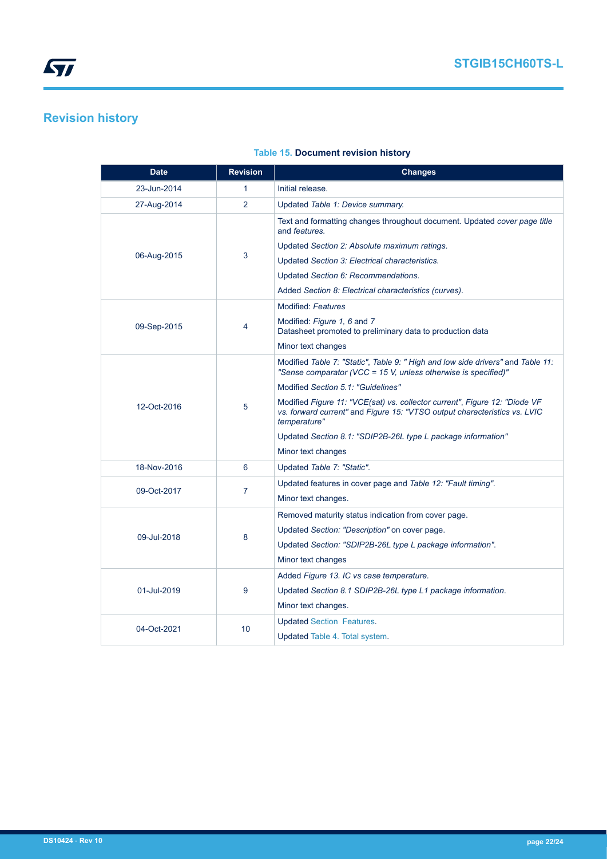# <span id="page-21-0"></span>**Revision history**

| <b>Date</b> | <b>Revision</b> | <b>Changes</b>                                                                                                                                                          |  |  |
|-------------|-----------------|-------------------------------------------------------------------------------------------------------------------------------------------------------------------------|--|--|
| 23-Jun-2014 | 1               | Initial release.                                                                                                                                                        |  |  |
| 27-Aug-2014 | $\overline{2}$  | Updated Table 1: Device summary.                                                                                                                                        |  |  |
|             |                 | Text and formatting changes throughout document. Updated cover page title<br>and <i>features</i> .                                                                      |  |  |
|             |                 | Updated Section 2: Absolute maximum ratings.                                                                                                                            |  |  |
| 06-Aug-2015 | 3               | Updated Section 3: Electrical characteristics.                                                                                                                          |  |  |
|             |                 | Updated Section 6: Recommendations.                                                                                                                                     |  |  |
|             |                 | Added Section 8: Electrical characteristics (curves).                                                                                                                   |  |  |
|             |                 | <b>Modified: Features</b>                                                                                                                                               |  |  |
| 09-Sep-2015 | 4               | Modified: Figure 1, 6 and 7<br>Datasheet promoted to preliminary data to production data                                                                                |  |  |
|             |                 | Minor text changes                                                                                                                                                      |  |  |
|             | 5               | Modified Table 7: "Static", Table 9: " High and low side drivers" and Table 11:<br>"Sense comparator (VCC = 15 V, unless otherwise is specified)"                       |  |  |
|             |                 | Modified Section 5.1: "Guidelines"                                                                                                                                      |  |  |
| 12-Oct-2016 |                 | Modified Figure 11: "VCE(sat) vs. collector current", Figure 12: "Diode VF<br>vs. forward current" and Figure 15: "VTSO output characteristics vs. LVIC<br>temperature" |  |  |
|             |                 | Updated Section 8.1: "SDIP2B-26L type L package information"                                                                                                            |  |  |
|             |                 | Minor text changes                                                                                                                                                      |  |  |
| 18-Nov-2016 | 6               | Updated Table 7: "Static".                                                                                                                                              |  |  |
| 09-Oct-2017 | 7               | Updated features in cover page and Table 12: "Fault timing".                                                                                                            |  |  |
|             |                 | Minor text changes.                                                                                                                                                     |  |  |
|             |                 | Removed maturity status indication from cover page.                                                                                                                     |  |  |
| 09-Jul-2018 | 8               | Updated Section: "Description" on cover page.                                                                                                                           |  |  |
|             |                 | Updated Section: "SDIP2B-26L type L package information".                                                                                                               |  |  |
|             |                 | Minor text changes                                                                                                                                                      |  |  |
|             | 9               | Added Figure 13. IC vs case temperature.                                                                                                                                |  |  |
| 01-Jul-2019 |                 | Updated Section 8.1 SDIP2B-26L type L1 package information.                                                                                                             |  |  |
|             |                 | Minor text changes.                                                                                                                                                     |  |  |
| 04-Oct-2021 | 10              | <b>Updated Section Features.</b>                                                                                                                                        |  |  |
|             |                 | Updated Table 4. Total system.                                                                                                                                          |  |  |

## **Table 15. Document revision history**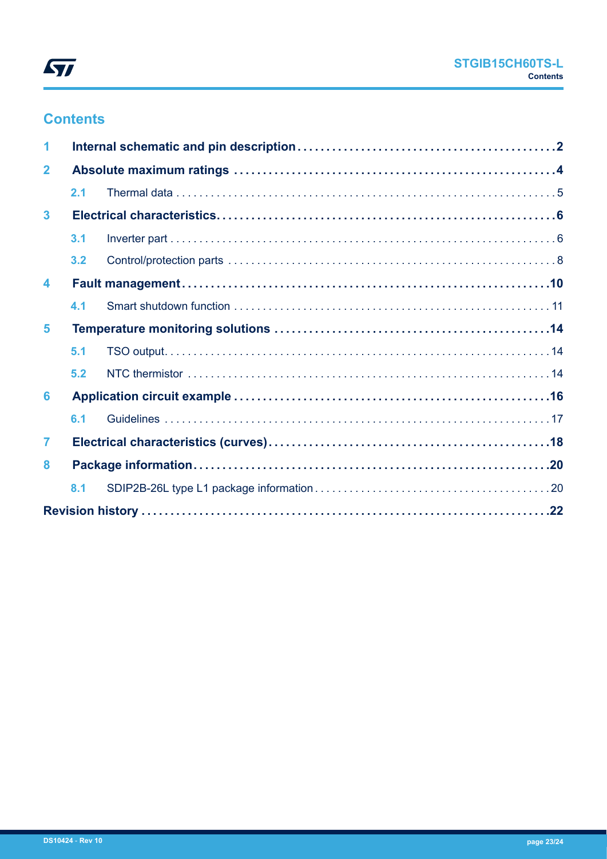

# **Contents**

| 1                       |     |  |  |  |
|-------------------------|-----|--|--|--|
| $\overline{2}$          |     |  |  |  |
|                         | 2.1 |  |  |  |
| $\overline{\mathbf{3}}$ |     |  |  |  |
|                         | 3.1 |  |  |  |
|                         | 3.2 |  |  |  |
| 4                       |     |  |  |  |
|                         | 4.1 |  |  |  |
| 5                       |     |  |  |  |
|                         | 5.1 |  |  |  |
|                         | 5.2 |  |  |  |
| 6                       |     |  |  |  |
|                         | 6.1 |  |  |  |
| $\overline{7}$          |     |  |  |  |
| 8                       |     |  |  |  |
|                         | 8.1 |  |  |  |
|                         |     |  |  |  |